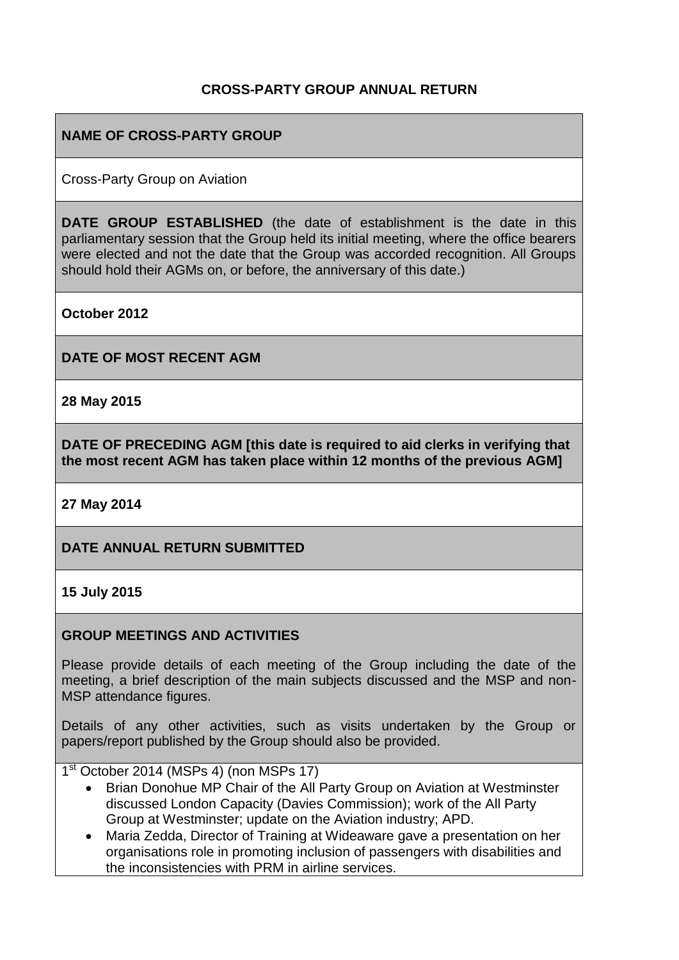## **CROSS-PARTY GROUP ANNUAL RETURN**

## **NAME OF CROSS-PARTY GROUP**

Cross-Party Group on Aviation

**DATE GROUP ESTABLISHED** (the date of establishment is the date in this parliamentary session that the Group held its initial meeting, where the office bearers were elected and not the date that the Group was accorded recognition. All Groups should hold their AGMs on, or before, the anniversary of this date.)

**October 2012**

**DATE OF MOST RECENT AGM**

**28 May 2015**

**DATE OF PRECEDING AGM [this date is required to aid clerks in verifying that the most recent AGM has taken place within 12 months of the previous AGM]**

**27 May 2014**

## **DATE ANNUAL RETURN SUBMITTED**

#### **15 July 2015**

#### **GROUP MEETINGS AND ACTIVITIES**

Please provide details of each meeting of the Group including the date of the meeting, a brief description of the main subjects discussed and the MSP and non-MSP attendance figures.

Details of any other activities, such as visits undertaken by the Group or papers/report published by the Group should also be provided.

1<sup>st</sup> October 2014 (MSPs 4) (non MSPs 17)

- Brian Donohue MP Chair of the All Party Group on Aviation at Westminster discussed London Capacity (Davies Commission); work of the All Party Group at Westminster; update on the Aviation industry; APD.
- Maria Zedda, Director of Training at Wideaware gave a presentation on her organisations role in promoting inclusion of passengers with disabilities and the inconsistencies with PRM in airline services.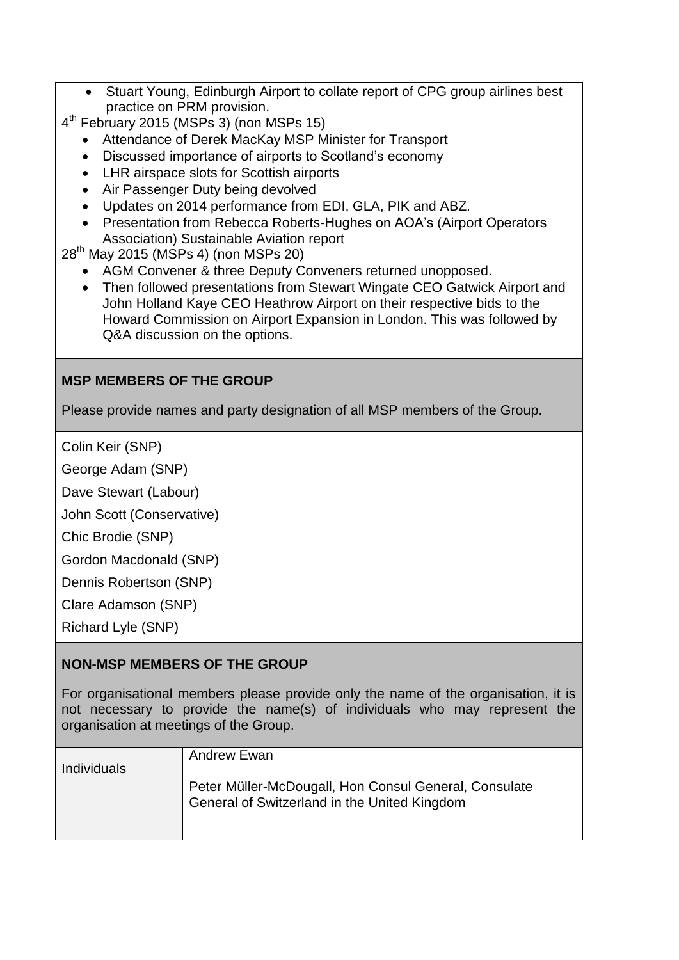- Stuart Young, Edinburgh Airport to collate report of CPG group airlines best practice on PRM provision.
- 4 th February 2015 (MSPs 3) (non MSPs 15)
	- Attendance of Derek MacKay MSP Minister for Transport
	- Discussed importance of airports to Scotland's economy
	- LHR airspace slots for Scottish airports
	- Air Passenger Duty being devolved
	- Updates on 2014 performance from EDI, GLA, PIK and ABZ.
	- Presentation from Rebecca Roberts-Hughes on AOA's (Airport Operators Association) Sustainable Aviation report
- 28<sup>th</sup> May 2015 (MSPs 4) (non MSPs 20)
	- AGM Convener & three Deputy Conveners returned unopposed.
	- Then followed presentations from Stewart Wingate CEO Gatwick Airport and John Holland Kaye CEO Heathrow Airport on their respective bids to the Howard Commission on Airport Expansion in London. This was followed by Q&A discussion on the options.

# **MSP MEMBERS OF THE GROUP**

Please provide names and party designation of all MSP members of the Group.

Colin Keir (SNP)

George Adam (SNP)

Dave Stewart (Labour)

John Scott (Conservative)

Chic Brodie (SNP)

Gordon Macdonald (SNP)

Dennis Robertson (SNP)

Clare Adamson (SNP)

Richard Lyle (SNP)

## **NON-MSP MEMBERS OF THE GROUP**

For organisational members please provide only the name of the organisation, it is not necessary to provide the name(s) of individuals who may represent the organisation at meetings of the Group.

| <b>Individuals</b> | <b>Andrew Ewan</b>                                                                                    |
|--------------------|-------------------------------------------------------------------------------------------------------|
|                    | Peter Müller-McDougall, Hon Consul General, Consulate<br>General of Switzerland in the United Kingdom |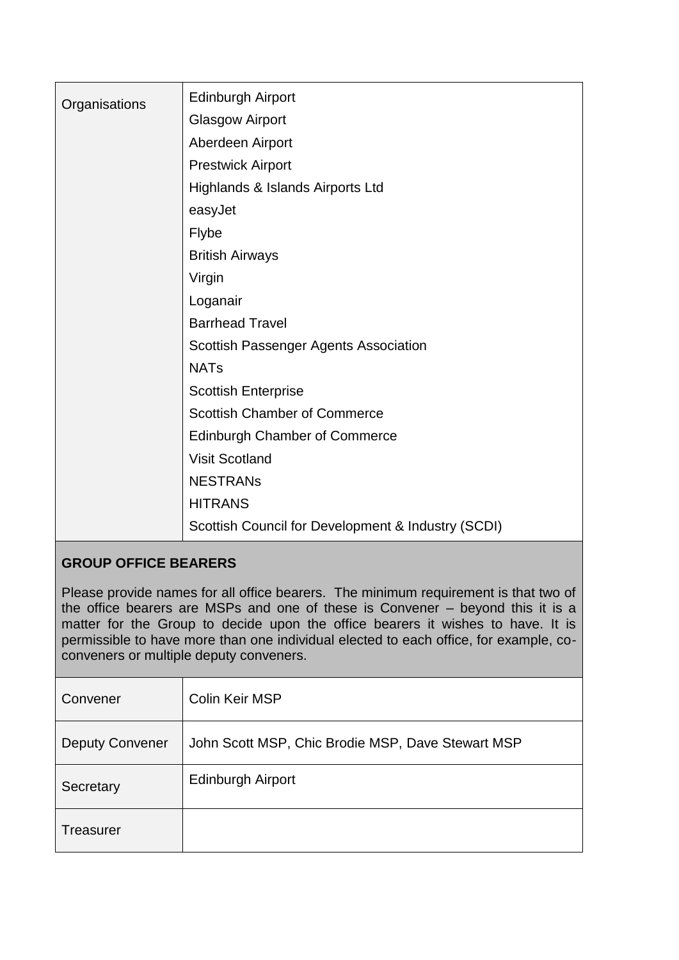| Organisations | <b>Edinburgh Airport</b>                           |
|---------------|----------------------------------------------------|
|               | <b>Glasgow Airport</b>                             |
|               | Aberdeen Airport                                   |
|               | <b>Prestwick Airport</b>                           |
|               | Highlands & Islands Airports Ltd                   |
|               | easyJet                                            |
|               | Flybe                                              |
|               | <b>British Airways</b>                             |
|               | Virgin                                             |
|               | Loganair                                           |
|               | <b>Barrhead Travel</b>                             |
|               | Scottish Passenger Agents Association              |
|               | <b>NATs</b>                                        |
|               | <b>Scottish Enterprise</b>                         |
|               | <b>Scottish Chamber of Commerce</b>                |
|               | <b>Edinburgh Chamber of Commerce</b>               |
|               | <b>Visit Scotland</b>                              |
|               | <b>NESTRANS</b>                                    |
|               | <b>HITRANS</b>                                     |
|               | Scottish Council for Development & Industry (SCDI) |

## **GROUP OFFICE BEARERS**

Please provide names for all office bearers. The minimum requirement is that two of the office bearers are MSPs and one of these is Convener – beyond this it is a matter for the Group to decide upon the office bearers it wishes to have. It is permissible to have more than one individual elected to each office, for example, coconveners or multiple deputy conveners.

| Convener               | Colin Keir MSP                                    |
|------------------------|---------------------------------------------------|
| <b>Deputy Convener</b> | John Scott MSP, Chic Brodie MSP, Dave Stewart MSP |
| Secretary              | <b>Edinburgh Airport</b>                          |
| Treasurer              |                                                   |